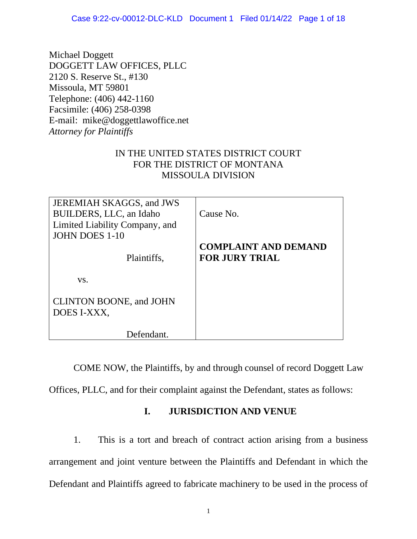Michael Doggett DOGGETT LAW OFFICES, PLLC 2120 S. Reserve St., #130 Missoula, MT 59801 Telephone: (406) 442-1160 Facsimile: (406) 258-0398 E-mail: mike@doggettlawoffice.net *Attorney for Plaintiffs*

## IN THE UNITED STATES DISTRICT COURT FOR THE DISTRICT OF MONTANA MISSOULA DIVISION

| JEREMIAH SKAGGS, and JWS<br>BUILDERS, LLC, an Idaho | Cause No.                                            |
|-----------------------------------------------------|------------------------------------------------------|
| Limited Liability Company, and                      |                                                      |
| JOHN DOES 1-10                                      |                                                      |
| Plaintiffs,                                         | <b>COMPLAINT AND DEMAND</b><br><b>FOR JURY TRIAL</b> |
|                                                     |                                                      |
| VS.                                                 |                                                      |
| <b>CLINTON BOONE, and JOHN</b><br>DOES I-XXX,       |                                                      |
| Defendant.                                          |                                                      |

COME NOW, the Plaintiffs, by and through counsel of record Doggett Law

Offices, PLLC, and for their complaint against the Defendant, states as follows:

# **I. JURISDICTION AND VENUE**

1. This is a tort and breach of contract action arising from a business arrangement and joint venture between the Plaintiffs and Defendant in which the Defendant and Plaintiffs agreed to fabricate machinery to be used in the process of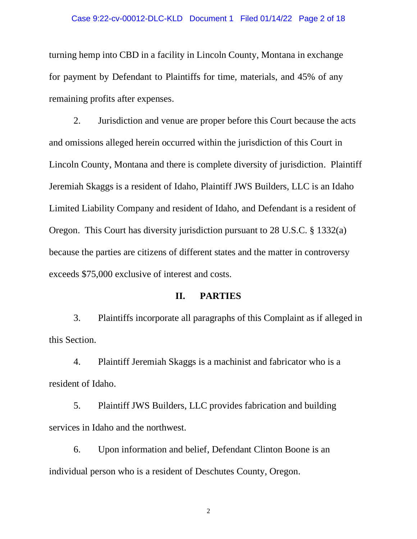#### Case 9:22-cv-00012-DLC-KLD Document 1 Filed 01/14/22 Page 2 of 18

turning hemp into CBD in a facility in Lincoln County, Montana in exchange for payment by Defendant to Plaintiffs for time, materials, and 45% of any remaining profits after expenses.

2. Jurisdiction and venue are proper before this Court because the acts and omissions alleged herein occurred within the jurisdiction of this Court in Lincoln County, Montana and there is complete diversity of jurisdiction. Plaintiff Jeremiah Skaggs is a resident of Idaho, Plaintiff JWS Builders, LLC is an Idaho Limited Liability Company and resident of Idaho, and Defendant is a resident of Oregon. This Court has diversity jurisdiction pursuant to 28 U.S.C. § 1332(a) because the parties are citizens of different states and the matter in controversy exceeds \$75,000 exclusive of interest and costs.

#### **II. PARTIES**

3. Plaintiffs incorporate all paragraphs of this Complaint as if alleged in this Section.

4. Plaintiff Jeremiah Skaggs is a machinist and fabricator who is a resident of Idaho.

5. Plaintiff JWS Builders, LLC provides fabrication and building services in Idaho and the northwest.

6. Upon information and belief, Defendant Clinton Boone is an individual person who is a resident of Deschutes County, Oregon.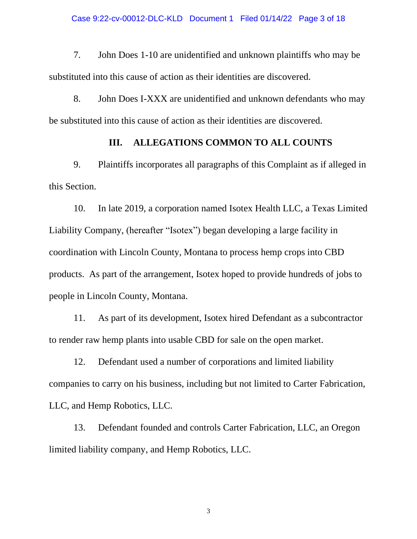7. John Does 1-10 are unidentified and unknown plaintiffs who may be substituted into this cause of action as their identities are discovered.

8. John Does I-XXX are unidentified and unknown defendants who may be substituted into this cause of action as their identities are discovered.

### **III. ALLEGATIONS COMMON TO ALL COUNTS**

9. Plaintiffs incorporates all paragraphs of this Complaint as if alleged in this Section.

10. In late 2019, a corporation named Isotex Health LLC, a Texas Limited Liability Company, (hereafter "Isotex") began developing a large facility in coordination with Lincoln County, Montana to process hemp crops into CBD products. As part of the arrangement, Isotex hoped to provide hundreds of jobs to people in Lincoln County, Montana.

11. As part of its development, Isotex hired Defendant as a subcontractor to render raw hemp plants into usable CBD for sale on the open market.

12. Defendant used a number of corporations and limited liability companies to carry on his business, including but not limited to Carter Fabrication, LLC, and Hemp Robotics, LLC.

13. Defendant founded and controls Carter Fabrication, LLC, an Oregon limited liability company, and Hemp Robotics, LLC.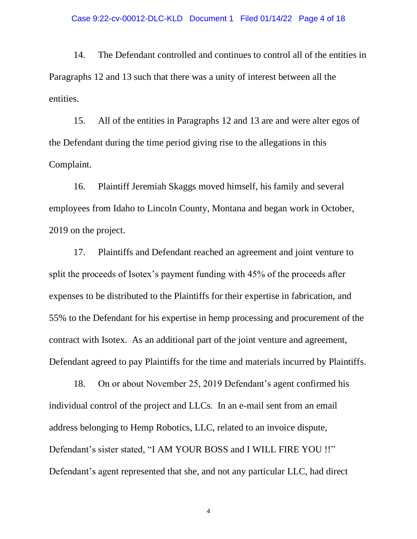14. The Defendant controlled and continues to control all of the entities in Paragraphs 12 and 13 such that there was a unity of interest between all the entities.

15. All of the entities in Paragraphs 12 and 13 are and were alter egos of the Defendant during the time period giving rise to the allegations in this Complaint.

16. Plaintiff Jeremiah Skaggs moved himself, his family and several employees from Idaho to Lincoln County, Montana and began work in October, 2019 on the project.

17. Plaintiffs and Defendant reached an agreement and joint venture to split the proceeds of Isotex's payment funding with 45% of the proceeds after expenses to be distributed to the Plaintiffs for their expertise in fabrication, and 55% to the Defendant for his expertise in hemp processing and procurement of the contract with Isotex. As an additional part of the joint venture and agreement, Defendant agreed to pay Plaintiffs for the time and materials incurred by Plaintiffs.

18. On or about November 25, 2019 Defendant's agent confirmed his individual control of the project and LLCs. In an e-mail sent from an email address belonging to Hemp Robotics, LLC, related to an invoice dispute, Defendant's sister stated, "I AM YOUR BOSS and I WILL FIRE YOU !!" Defendant's agent represented that she, and not any particular LLC, had direct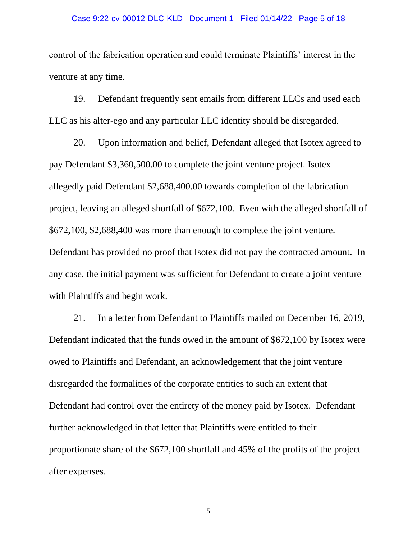#### Case 9:22-cv-00012-DLC-KLD Document 1 Filed 01/14/22 Page 5 of 18

control of the fabrication operation and could terminate Plaintiffs' interest in the venture at any time.

19. Defendant frequently sent emails from different LLCs and used each LLC as his alter-ego and any particular LLC identity should be disregarded.

20. Upon information and belief, Defendant alleged that Isotex agreed to pay Defendant \$3,360,500.00 to complete the joint venture project. Isotex allegedly paid Defendant \$2,688,400.00 towards completion of the fabrication project, leaving an alleged shortfall of \$672,100. Even with the alleged shortfall of \$672,100, \$2,688,400 was more than enough to complete the joint venture. Defendant has provided no proof that Isotex did not pay the contracted amount. In any case, the initial payment was sufficient for Defendant to create a joint venture with Plaintiffs and begin work.

21. In a letter from Defendant to Plaintiffs mailed on December 16, 2019, Defendant indicated that the funds owed in the amount of \$672,100 by Isotex were owed to Plaintiffs and Defendant, an acknowledgement that the joint venture disregarded the formalities of the corporate entities to such an extent that Defendant had control over the entirety of the money paid by Isotex. Defendant further acknowledged in that letter that Plaintiffs were entitled to their proportionate share of the \$672,100 shortfall and 45% of the profits of the project after expenses.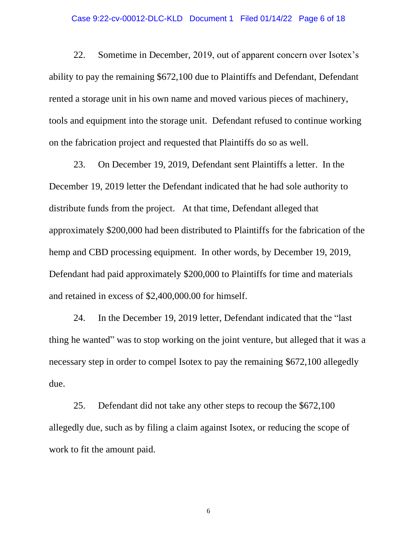#### Case 9:22-cv-00012-DLC-KLD Document 1 Filed 01/14/22 Page 6 of 18

22. Sometime in December, 2019, out of apparent concern over Isotex's ability to pay the remaining \$672,100 due to Plaintiffs and Defendant, Defendant rented a storage unit in his own name and moved various pieces of machinery, tools and equipment into the storage unit. Defendant refused to continue working on the fabrication project and requested that Plaintiffs do so as well.

23. On December 19, 2019, Defendant sent Plaintiffs a letter. In the December 19, 2019 letter the Defendant indicated that he had sole authority to distribute funds from the project. At that time, Defendant alleged that approximately \$200,000 had been distributed to Plaintiffs for the fabrication of the hemp and CBD processing equipment. In other words, by December 19, 2019, Defendant had paid approximately \$200,000 to Plaintiffs for time and materials and retained in excess of \$2,400,000.00 for himself.

24. In the December 19, 2019 letter, Defendant indicated that the "last thing he wanted" was to stop working on the joint venture, but alleged that it was a necessary step in order to compel Isotex to pay the remaining \$672,100 allegedly due.

25. Defendant did not take any other steps to recoup the \$672,100 allegedly due, such as by filing a claim against Isotex, or reducing the scope of work to fit the amount paid.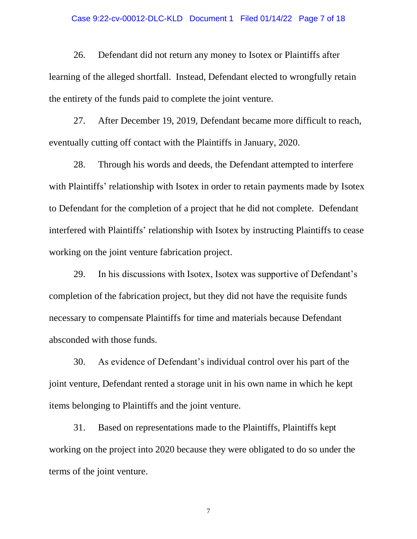#### Case 9:22-cv-00012-DLC-KLD Document 1 Filed 01/14/22 Page 7 of 18

26. Defendant did not return any money to Isotex or Plaintiffs after learning of the alleged shortfall. Instead, Defendant elected to wrongfully retain the entirety of the funds paid to complete the joint venture.

27. After December 19, 2019, Defendant became more difficult to reach, eventually cutting off contact with the Plaintiffs in January, 2020.

28. Through his words and deeds, the Defendant attempted to interfere with Plaintiffs' relationship with Isotex in order to retain payments made by Isotex to Defendant for the completion of a project that he did not complete. Defendant interfered with Plaintiffs' relationship with Isotex by instructing Plaintiffs to cease working on the joint venture fabrication project.

29. In his discussions with Isotex, Isotex was supportive of Defendant's completion of the fabrication project, but they did not have the requisite funds necessary to compensate Plaintiffs for time and materials because Defendant absconded with those funds.

30. As evidence of Defendant's individual control over his part of the joint venture, Defendant rented a storage unit in his own name in which he kept items belonging to Plaintiffs and the joint venture.

31. Based on representations made to the Plaintiffs, Plaintiffs kept working on the project into 2020 because they were obligated to do so under the terms of the joint venture.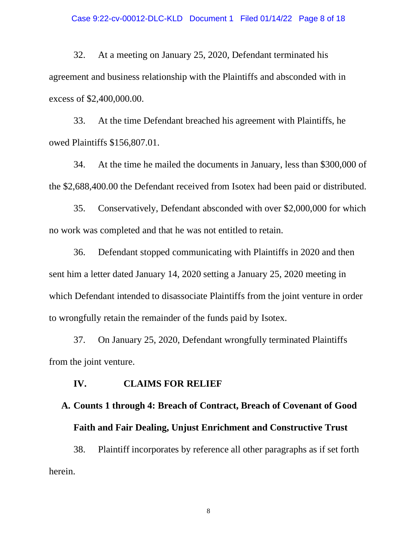32. At a meeting on January 25, 2020, Defendant terminated his agreement and business relationship with the Plaintiffs and absconded with in excess of \$2,400,000.00.

33. At the time Defendant breached his agreement with Plaintiffs, he owed Plaintiffs \$156,807.01.

34. At the time he mailed the documents in January, less than \$300,000 of the \$2,688,400.00 the Defendant received from Isotex had been paid or distributed.

35. Conservatively, Defendant absconded with over \$2,000,000 for which no work was completed and that he was not entitled to retain.

36. Defendant stopped communicating with Plaintiffs in 2020 and then sent him a letter dated January 14, 2020 setting a January 25, 2020 meeting in which Defendant intended to disassociate Plaintiffs from the joint venture in order to wrongfully retain the remainder of the funds paid by Isotex.

37. On January 25, 2020, Defendant wrongfully terminated Plaintiffs from the joint venture.

## **IV. CLAIMS FOR RELIEF**

# **A. Counts 1 through 4: Breach of Contract, Breach of Covenant of Good Faith and Fair Dealing, Unjust Enrichment and Constructive Trust**

38. Plaintiff incorporates by reference all other paragraphs as if set forth herein.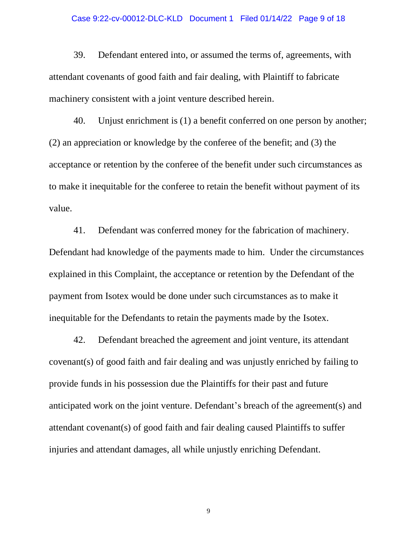#### Case 9:22-cv-00012-DLC-KLD Document 1 Filed 01/14/22 Page 9 of 18

39. Defendant entered into, or assumed the terms of, agreements, with attendant covenants of good faith and fair dealing, with Plaintiff to fabricate machinery consistent with a joint venture described herein.

40. Unjust enrichment is (1) a benefit conferred on one person by another; (2) an appreciation or knowledge by the conferee of the benefit; and (3) the acceptance or retention by the conferee of the benefit under such circumstances as to make it inequitable for the conferee to retain the benefit without payment of its value.

41. Defendant was conferred money for the fabrication of machinery. Defendant had knowledge of the payments made to him. Under the circumstances explained in this Complaint, the acceptance or retention by the Defendant of the payment from Isotex would be done under such circumstances as to make it inequitable for the Defendants to retain the payments made by the Isotex.

42. Defendant breached the agreement and joint venture, its attendant covenant(s) of good faith and fair dealing and was unjustly enriched by failing to provide funds in his possession due the Plaintiffs for their past and future anticipated work on the joint venture. Defendant's breach of the agreement(s) and attendant covenant(s) of good faith and fair dealing caused Plaintiffs to suffer injuries and attendant damages, all while unjustly enriching Defendant.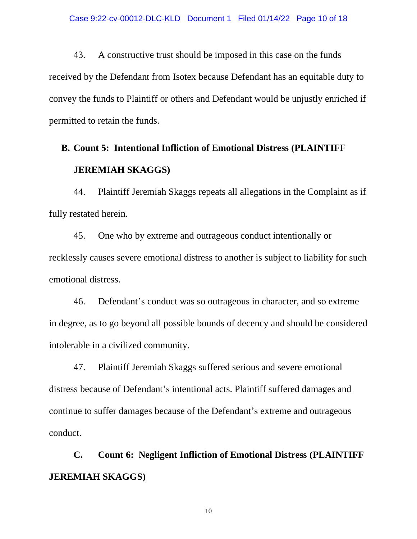43. A constructive trust should be imposed in this case on the funds received by the Defendant from Isotex because Defendant has an equitable duty to convey the funds to Plaintiff or others and Defendant would be unjustly enriched if permitted to retain the funds.

# **B. Count 5: Intentional Infliction of Emotional Distress (PLAINTIFF JEREMIAH SKAGGS)**

44. Plaintiff Jeremiah Skaggs repeats all allegations in the Complaint as if fully restated herein.

45. One who by extreme and outrageous conduct intentionally or recklessly causes severe emotional distress to another is subject to liability for such emotional distress.

46. Defendant's conduct was so outrageous in character, and so extreme in degree, as to go beyond all possible bounds of decency and should be considered intolerable in a civilized community.

47. Plaintiff Jeremiah Skaggs suffered serious and severe emotional distress because of Defendant's intentional acts. Plaintiff suffered damages and continue to suffer damages because of the Defendant's extreme and outrageous conduct.

**C. Count 6: Negligent Infliction of Emotional Distress (PLAINTIFF JEREMIAH SKAGGS)**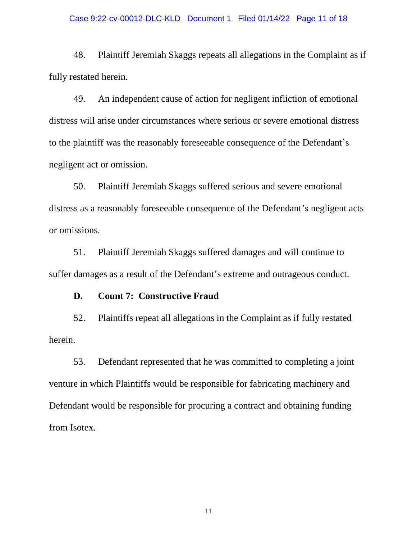#### Case 9:22-cv-00012-DLC-KLD Document 1 Filed 01/14/22 Page 11 of 18

48. Plaintiff Jeremiah Skaggs repeats all allegations in the Complaint as if fully restated herein.

49. An independent cause of action for negligent infliction of emotional distress will arise under circumstances where serious or severe emotional distress to the plaintiff was the reasonably foreseeable consequence of the Defendant's negligent act or omission.

50. Plaintiff Jeremiah Skaggs suffered serious and severe emotional distress as a reasonably foreseeable consequence of the Defendant's negligent acts or omissions.

51. Plaintiff Jeremiah Skaggs suffered damages and will continue to suffer damages as a result of the Defendant's extreme and outrageous conduct.

## **D. Count 7: Constructive Fraud**

52. Plaintiffs repeat all allegations in the Complaint as if fully restated herein.

53. Defendant represented that he was committed to completing a joint venture in which Plaintiffs would be responsible for fabricating machinery and Defendant would be responsible for procuring a contract and obtaining funding from Isotex.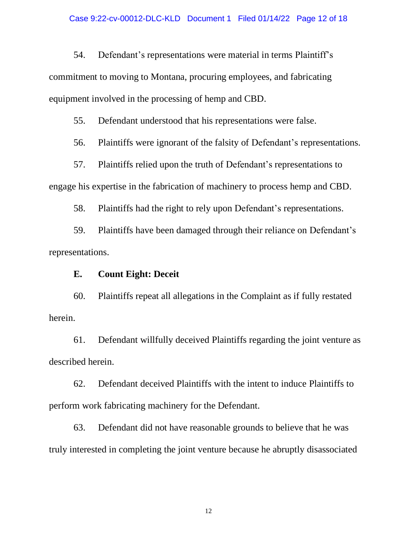54. Defendant's representations were material in terms Plaintiff's commitment to moving to Montana, procuring employees, and fabricating equipment involved in the processing of hemp and CBD.

55. Defendant understood that his representations were false.

56. Plaintiffs were ignorant of the falsity of Defendant's representations.

57. Plaintiffs relied upon the truth of Defendant's representations to engage his expertise in the fabrication of machinery to process hemp and CBD.

58. Plaintiffs had the right to rely upon Defendant's representations.

59. Plaintiffs have been damaged through their reliance on Defendant's representations.

### **E. Count Eight: Deceit**

60. Plaintiffs repeat all allegations in the Complaint as if fully restated herein.

61. Defendant willfully deceived Plaintiffs regarding the joint venture as described herein.

62. Defendant deceived Plaintiffs with the intent to induce Plaintiffs to perform work fabricating machinery for the Defendant.

63. Defendant did not have reasonable grounds to believe that he was truly interested in completing the joint venture because he abruptly disassociated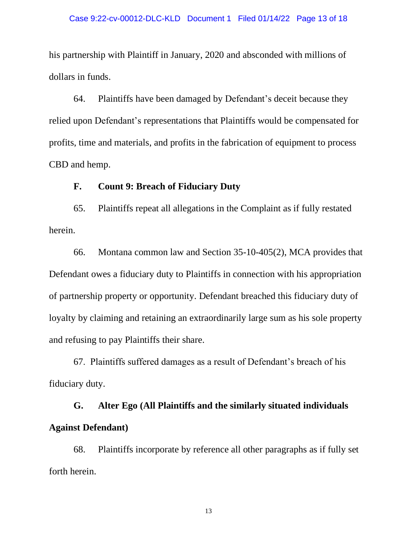his partnership with Plaintiff in January, 2020 and absconded with millions of dollars in funds.

64. Plaintiffs have been damaged by Defendant's deceit because they relied upon Defendant's representations that Plaintiffs would be compensated for profits, time and materials, and profits in the fabrication of equipment to process CBD and hemp.

## **F. Count 9: Breach of Fiduciary Duty**

65. Plaintiffs repeat all allegations in the Complaint as if fully restated herein.

66. Montana common law and Section 35-10-405(2), MCA provides that Defendant owes a fiduciary duty to Plaintiffs in connection with his appropriation of partnership property or opportunity. Defendant breached this fiduciary duty of loyalty by claiming and retaining an extraordinarily large sum as his sole property and refusing to pay Plaintiffs their share.

67. Plaintiffs suffered damages as a result of Defendant's breach of his fiduciary duty.

**G. Alter Ego (All Plaintiffs and the similarly situated individuals Against Defendant)**

68. Plaintiffs incorporate by reference all other paragraphs as if fully set forth herein.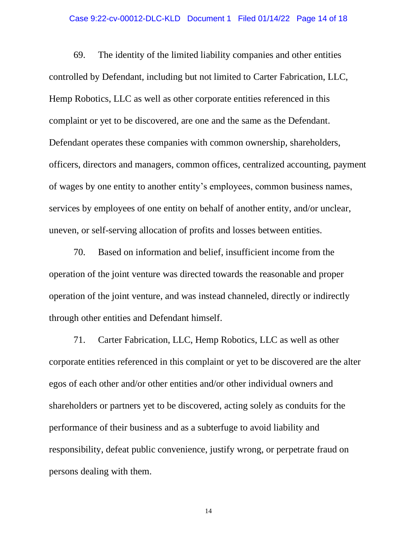#### Case 9:22-cv-00012-DLC-KLD Document 1 Filed 01/14/22 Page 14 of 18

69. The identity of the limited liability companies and other entities controlled by Defendant, including but not limited to Carter Fabrication, LLC, Hemp Robotics, LLC as well as other corporate entities referenced in this complaint or yet to be discovered, are one and the same as the Defendant. Defendant operates these companies with common ownership, shareholders, officers, directors and managers, common offices, centralized accounting, payment of wages by one entity to another entity's employees, common business names, services by employees of one entity on behalf of another entity, and/or unclear, uneven, or self-serving allocation of profits and losses between entities.

70. Based on information and belief, insufficient income from the operation of the joint venture was directed towards the reasonable and proper operation of the joint venture, and was instead channeled, directly or indirectly through other entities and Defendant himself.

71. Carter Fabrication, LLC, Hemp Robotics, LLC as well as other corporate entities referenced in this complaint or yet to be discovered are the alter egos of each other and/or other entities and/or other individual owners and shareholders or partners yet to be discovered, acting solely as conduits for the performance of their business and as a subterfuge to avoid liability and responsibility, defeat public convenience, justify wrong, or perpetrate fraud on persons dealing with them.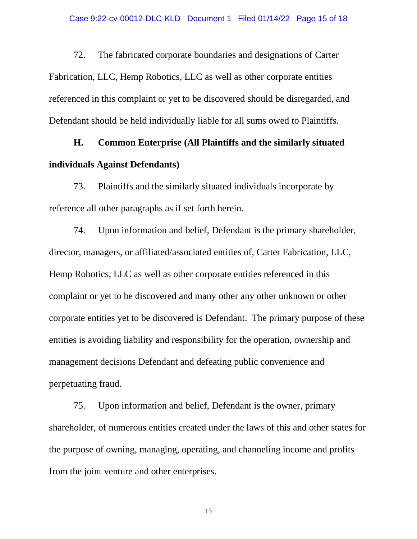72. The fabricated corporate boundaries and designations of Carter Fabrication, LLC, Hemp Robotics, LLC as well as other corporate entities referenced in this complaint or yet to be discovered should be disregarded, and Defendant should be held individually liable for all sums owed to Plaintiffs.

**H. Common Enterprise (All Plaintiffs and the similarly situated individuals Against Defendants)**

73. Plaintiffs and the similarly situated individuals incorporate by reference all other paragraphs as if set forth herein.

74. Upon information and belief, Defendant is the primary shareholder, director, managers, or affiliated/associated entities of, Carter Fabrication, LLC, Hemp Robotics, LLC as well as other corporate entities referenced in this complaint or yet to be discovered and many other any other unknown or other corporate entities yet to be discovered is Defendant. The primary purpose of these entities is avoiding liability and responsibility for the operation, ownership and management decisions Defendant and defeating public convenience and perpetuating fraud.

75. Upon information and belief, Defendant is the owner, primary shareholder, of numerous entities created under the laws of this and other states for the purpose of owning, managing, operating, and channeling income and profits from the joint venture and other enterprises.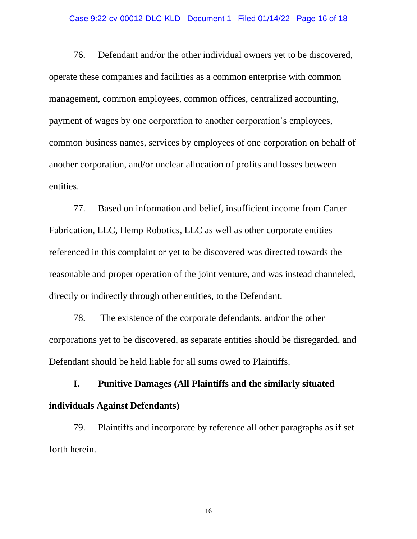#### Case 9:22-cv-00012-DLC-KLD Document 1 Filed 01/14/22 Page 16 of 18

76. Defendant and/or the other individual owners yet to be discovered, operate these companies and facilities as a common enterprise with common management, common employees, common offices, centralized accounting, payment of wages by one corporation to another corporation's employees, common business names, services by employees of one corporation on behalf of another corporation, and/or unclear allocation of profits and losses between entities.

77. Based on information and belief, insufficient income from Carter Fabrication, LLC, Hemp Robotics, LLC as well as other corporate entities referenced in this complaint or yet to be discovered was directed towards the reasonable and proper operation of the joint venture, and was instead channeled, directly or indirectly through other entities, to the Defendant.

78. The existence of the corporate defendants, and/or the other corporations yet to be discovered, as separate entities should be disregarded, and Defendant should be held liable for all sums owed to Plaintiffs.

**I. Punitive Damages (All Plaintiffs and the similarly situated individuals Against Defendants)**

79. Plaintiffs and incorporate by reference all other paragraphs as if set forth herein.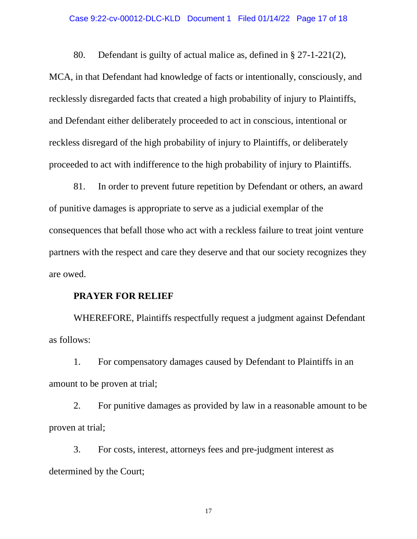#### Case 9:22-cv-00012-DLC-KLD Document 1 Filed 01/14/22 Page 17 of 18

80. Defendant is guilty of actual malice as, defined in § 27-1-221(2),

MCA, in that Defendant had knowledge of facts or intentionally, consciously, and recklessly disregarded facts that created a high probability of injury to Plaintiffs, and Defendant either deliberately proceeded to act in conscious, intentional or reckless disregard of the high probability of injury to Plaintiffs, or deliberately proceeded to act with indifference to the high probability of injury to Plaintiffs.

81. In order to prevent future repetition by Defendant or others, an award of punitive damages is appropriate to serve as a judicial exemplar of the consequences that befall those who act with a reckless failure to treat joint venture partners with the respect and care they deserve and that our society recognizes they are owed.

#### **PRAYER FOR RELIEF**

WHEREFORE, Plaintiffs respectfully request a judgment against Defendant as follows:

1. For compensatory damages caused by Defendant to Plaintiffs in an amount to be proven at trial;

2. For punitive damages as provided by law in a reasonable amount to be proven at trial;

3. For costs, interest, attorneys fees and pre-judgment interest as determined by the Court;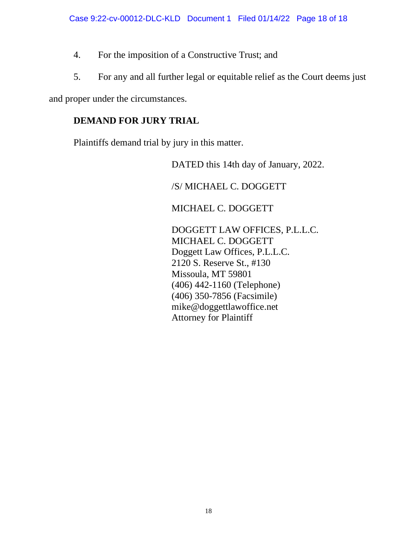- 4. For the imposition of a Constructive Trust; and
- 5. For any and all further legal or equitable relief as the Court deems just

and proper under the circumstances.

## **DEMAND FOR JURY TRIAL**

Plaintiffs demand trial by jury in this matter.

DATED this 14th day of January, 2022.

/S/ MICHAEL C. DOGGETT

MICHAEL C. DOGGETT

DOGGETT LAW OFFICES, P.L.L.C. MICHAEL C. DOGGETT Doggett Law Offices, P.L.L.C. 2120 S. Reserve St., #130 Missoula, MT 59801 (406) 442-1160 (Telephone) (406) 350-7856 (Facsimile) mike@doggettlawoffice.net Attorney for Plaintiff